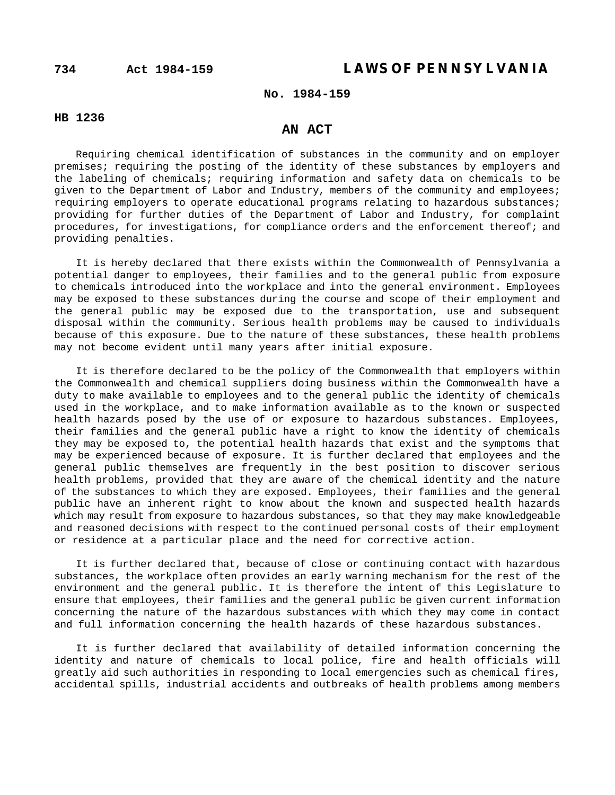# **734 Act 1984-159 LAWS OF PENNSYLVANIA**

# **No. 1984-159**

### **HB 1236**

## **AN ACT**

Requiring chemical identification of substances in the community and on employer premises; requiring the posting of the identity of these substances by employers and the labeling of chemicals; requiring information and safety data on chemicals to be given to the Department of Labor and Industry, members of the community and employees; requiring employers to operate educational programs relating to hazardous substances; providing for further duties of the Department of Labor and Industry, for complaint procedures, for investigations, for compliance orders and the enforcement thereof; and providing penalties.

It is hereby declared that there exists within the Commonwealth of Pennsylvania a potential danger to employees, their families and to the general public from exposure to chemicals introduced into the workplace and into the general environment. Employees may be exposed to these substances during the course and scope of their employment and the general public may be exposed due to the transportation, use and subsequent disposal within the community. Serious health problems may be caused to individuals because of this exposure. Due to the nature of these substances, these health problems may not become evident until many years after initial exposure.

It is therefore declared to be the policy of the Commonwealth that employers within the Commonwealth and chemical suppliers doing business within the Commonwealth have a duty to make available to employees and to the general public the identity of chemicals used in the workplace, and to make information available as to the known or suspected health hazards posed by the use of or exposure to hazardous substances. Employees, their families and the general public have a right to know the identity of chemicals they may be exposed to, the potential health hazards that exist and the symptoms that may be experienced because of exposure. It is further declared that employees and the general public themselves are frequently in the best position to discover serious health problems, provided that they are aware of the chemical identity and the nature of the substances to which they are exposed. Employees, their families and the general public have an inherent right to know about the known and suspected health hazards which may result from exposure to hazardous substances, so that they may make knowledgeable and reasoned decisions with respect to the continued personal costs of their employment or residence at a particular place and the need for corrective action.

It is further declared that, because of close or continuing contact with hazardous substances, the workplace often provides an early warning mechanism for the rest of the environment and the general public. It is therefore the intent of this Legislature to ensure that employees, their families and the general public be given current information concerning the nature of the hazardous substances with which they may come in contact and full information concerning the health hazards of these hazardous substances.

It is further declared that availability of detailed information concerning the identity and nature of chemicals to local police, fire and health officials will greatly aid such authorities in responding to local emergencies such as chemical fires, accidental spills, industrial accidents and outbreaks of health problems among members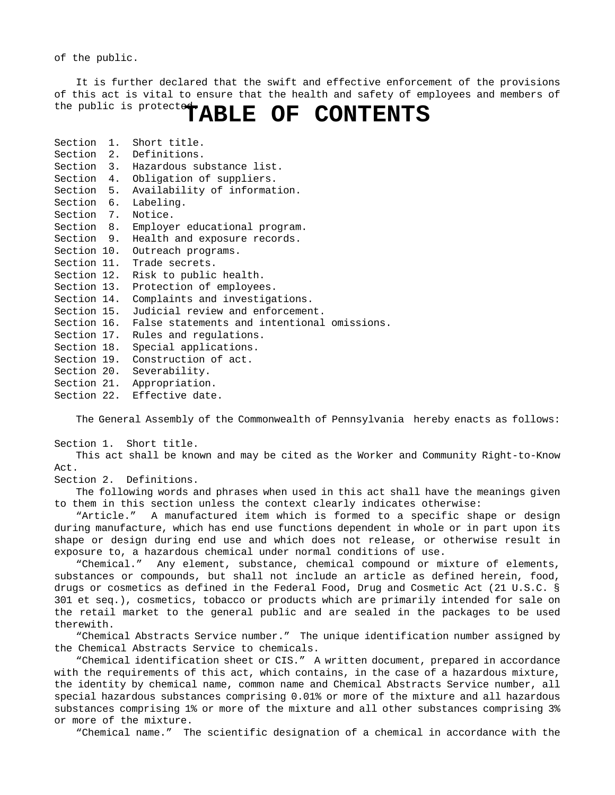of the public.

It is further declared that the swift and effective enforcement of the provisions of this act is vital to ensure that the health and safety of employees and members of the public is protected. TABLE OF CONTENTS

| Section 1.  | Short title.                                            |
|-------------|---------------------------------------------------------|
|             | Section 2. Definitions.                                 |
|             | Section 3. Hazardous substance list.                    |
|             | Section 4. Obligation of suppliers.                     |
|             | Section 5. Availability of information.                 |
|             | Section 6. Labeling.                                    |
|             | Section 7. Notice.                                      |
|             | Section 8. Employer educational program.                |
|             | Section 9. Health and exposure records.                 |
|             | Section 10. Outreach programs.                          |
|             | Section 11. Trade secrets.                              |
|             | Section 12. Risk to public health.                      |
|             | Section 13. Protection of employees.                    |
|             | Section 14. Complaints and investigations.              |
|             | Section 15. Judicial review and enforcement.            |
|             | Section 16. False statements and intentional omissions. |
|             | Section 17. Rules and regulations.                      |
| Section 18. | Special applications.                                   |
|             | Section 19. Construction of act.                        |
|             | Section 20. Severability.                               |
|             | Section 21. Appropriation.                              |
|             | Section 22. Effective date.                             |

The General Assembly of the Commonwealth of Pennsylvania hereby enacts as follows:

Section 1. Short title.

This act shall be known and may be cited as the Worker and Community Right-to-Know Act.

Section 2. Definitions.

The following words and phrases when used in this act shall have the meanings given to them in this section unless the context clearly indicates otherwise:

"Article." A manufactured item which is formed to a specific shape or design during manufacture, which has end use functions dependent in whole or in part upon its shape or design during end use and which does not release, or otherwise result in exposure to, a hazardous chemical under normal conditions of use.

"Chemical." Any element, substance, chemical compound or mixture of elements, substances or compounds, but shall not include an article as defined herein, food, drugs or cosmetics as defined in the Federal Food, Drug and Cosmetic Act (21 U.S.C. § 301 et seq.), cosmetics, tobacco or products which are primarily intended for sale on the retail market to the general public and are sealed in the packages to be used therewith.

"Chemical Abstracts Service number." The unique identification number assigned by the Chemical Abstracts Service to chemicals.

"Chemical identification sheet or CIS." A written document, prepared in accordance with the requirements of this act, which contains, in the case of a hazardous mixture, the identity by chemical name, common name and Chemical Abstracts Service number, all special hazardous substances comprising 0.01% or more of the mixture and all hazardous substances comprising 1% or more of the mixture and all other substances comprising 3% or more of the mixture.

"Chemical name." The scientific designation of a chemical in accordance with the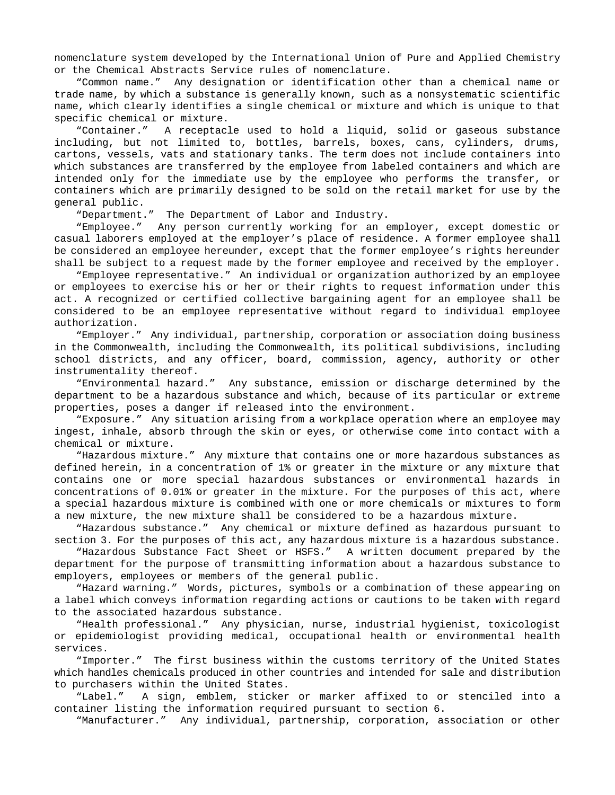nomenclature system developed by the International Union of Pure and Applied Chemistry or the Chemical Abstracts Service rules of nomenclature.

"Common name." Any designation or identification other than a chemical name or trade name, by which a substance is generally known, such as a nonsystematic scientific name, which clearly identifies a single chemical or mixture and which is unique to that specific chemical or mixture.

"Container." A receptacle used to hold a liquid, solid or gaseous substance including, but not limited to, bottles, barrels, boxes, cans, cylinders, drums, cartons, vessels, vats and stationary tanks. The term does not include containers into which substances are transferred by the employee from labeled containers and which are intended only for the immediate use by the employee who performs the transfer, or containers which are primarily designed to be sold on the retail market for use by the general public.

"Department." The Department of Labor and Industry.

"Employee." Any person currently working for an employer, except domestic or casual laborers employed at the employer's place of residence. A former employee shall be considered an employee hereunder, except that the former employee's rights hereunder shall be subject to a request made by the former employee and received by the employer.

"Employee representative." An individual or organization authorized by an employee or employees to exercise his or her or their rights to request information under this act. A recognized or certified collective bargaining agent for an employee shall be considered to be an employee representative without regard to individual employee authorization.

"Employer." Any individual, partnership, corporation or association doing business in the Commonwealth, including the Commonwealth, its political subdivisions, including school districts, and any officer, board, commission, agency, authority or other instrumentality thereof.

"Environmental hazard." Any substance, emission or discharge determined by the department to be a hazardous substance and which, because of its particular or extreme properties, poses a danger if released into the environment.

"Exposure." Any situation arising from a workplace operation where an employee may ingest, inhale, absorb through the skin or eyes, or otherwise come into contact with a chemical or mixture.

"Hazardous mixture." Any mixture that contains one or more hazardous substances as defined herein, in a concentration of 1% or greater in the mixture or any mixture that contains one or more special hazardous substances or environmental hazards in concentrations of 0.01% or greater in the mixture. For the purposes of this act, where a special hazardous mixture is combined with one or more chemicals or mixtures to form a new mixture, the new mixture shall be considered to be a hazardous mixture.

"Hazardous substance." Any chemical or mixture defined as hazardous pursuant to section 3. For the purposes of this act, any hazardous mixture is a hazardous substance.

"Hazardous Substance Fact Sheet or HSFS." A written document prepared by the department for the purpose of transmitting information about a hazardous substance to employers, employees or members of the general public.

"Hazard warning." Words, pictures, symbols or a combination of these appearing on a label which conveys information regarding actions or cautions to be taken with regard to the associated hazardous substance.

"Health professional." Any physician, nurse, industrial hygienist, toxicologist or epidemiologist providing medical, occupational health or environmental health services.

"Importer." The first business within the customs territory of the United States which handles chemicals produced in other countries and intended for sale and distribution to purchasers within the United States.

"Label." A sign, emblem, sticker or marker affixed to or stenciled into a container listing the information required pursuant to section 6.

"Manufacturer." Any individual, partnership, corporation, association or other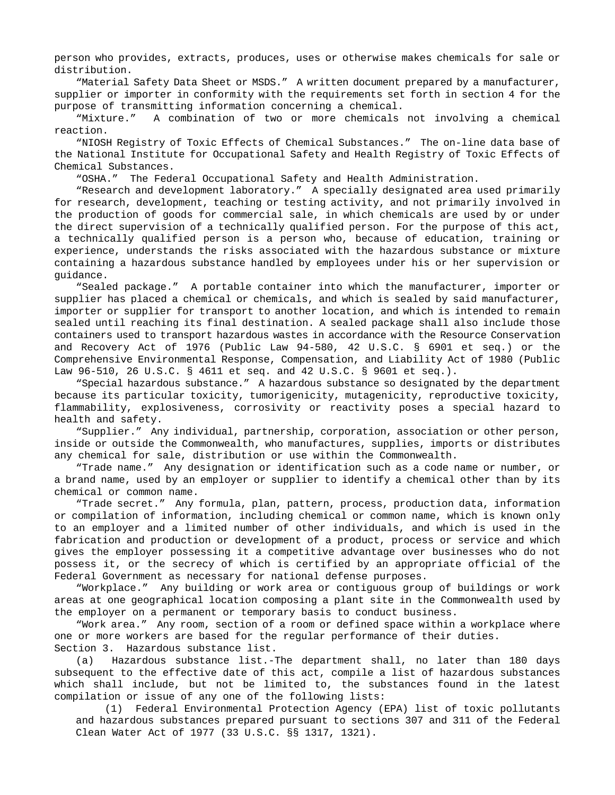person who provides, extracts, produces, uses or otherwise makes chemicals for sale or distribution.

"Material Safety Data Sheet or MSDS." A written document prepared by a manufacturer, supplier or importer in conformity with the requirements set forth in section 4 for the purpose of transmitting information concerning a chemical.

"Mixture." A combination of two or more chemicals not involving a chemical reaction.

"NIOSH Registry of Toxic Effects of Chemical Substances." The on-line data base of the National Institute for Occupational Safety and Health Registry of Toxic Effects of Chemical Substances.

"OSHA." The Federal Occupational Safety and Health Administration.

"Research and development laboratory." A specially designated area used primarily for research, development, teaching or testing activity, and not primarily involved in the production of goods for commercial sale, in which chemicals are used by or under the direct supervision of a technically qualified person. For the purpose of this act, a technically qualified person is a person who, because of education, training or experience, understands the risks associated with the hazardous substance or mixture containing a hazardous substance handled by employees under his or her supervision or guidance.

"Sealed package." A portable container into which the manufacturer, importer or supplier has placed a chemical or chemicals, and which is sealed by said manufacturer, importer or supplier for transport to another location, and which is intended to remain sealed until reaching its final destination. A sealed package shall also include those containers used to transport hazardous wastes in accordance with the Resource Conservation and Recovery Act of 1976 (Public Law 94-580, 42 U.S.C. § 6901 et seq.) or the Comprehensive Environmental Response, Compensation, and Liability Act of 1980 (Public Law 96-510, 26 U.S.C. § 4611 et seq. and 42 U.S.C. § 9601 et seq.).

"Special hazardous substance." A hazardous substance so designated by the department because its particular toxicity, tumorigenicity, mutagenicity, reproductive toxicity, flammability, explosiveness, corrosivity or reactivity poses a special hazard to health and safety.

"Supplier." Any individual, partnership, corporation, association or other person, inside or outside the Commonwealth, who manufactures, supplies, imports or distributes any chemical for sale, distribution or use within the Commonwealth.

"Trade name." Any designation or identification such as a code name or number, or a brand name, used by an employer or supplier to identify a chemical other than by its chemical or common name.

"Trade secret." Any formula, plan, pattern, process, production data, information or compilation of information, including chemical or common name, which is known only to an employer and a limited number of other individuals, and which is used in the fabrication and production or development of a product, process or service and which gives the employer possessing it a competitive advantage over businesses who do not possess it, or the secrecy of which is certified by an appropriate official of the Federal Government as necessary for national defense purposes.

"Workplace." Any building or work area or contiguous group of buildings or work areas at one geographical location composing a plant site in the Commonwealth used by the employer on a permanent or temporary basis to conduct business.

"Work area." Any room, section of a room or defined space within a workplace where one or more workers are based for the regular performance of their duties. Section 3. Hazardous substance list.

(a) Hazardous substance list.-The department shall, no later than 180 days subsequent to the effective date of this act, compile a list of hazardous substances which shall include, but not be limited to, the substances found in the latest compilation or issue of any one of the following lists:

(1) Federal Environmental Protection Agency (EPA) list of toxic pollutants and hazardous substances prepared pursuant to sections 307 and 311 of the Federal Clean Water Act of 1977 (33 U.S.C. §§ 1317, 1321).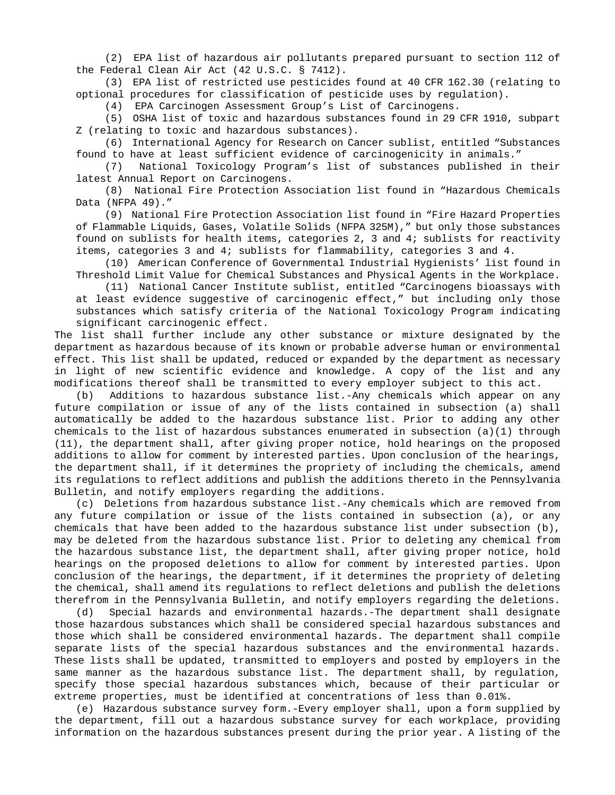(2) EPA list of hazardous air pollutants prepared pursuant to section 112 of the Federal Clean Air Act (42 U.S.C. § 7412).

(3) EPA list of restricted use pesticides found at 40 CFR 162.30 (relating to optional procedures for classification of pesticide uses by regulation).

(4) EPA Carcinogen Assessment Group's List of Carcinogens.

(5) OSHA list of toxic and hazardous substances found in 29 CFR 1910, subpart Z (relating to toxic and hazardous substances).

(6) International Agency for Research on Cancer sublist, entitled "Substances found to have at least sufficient evidence of carcinogenicity in animals."

(7) National Toxicology Program's list of substances published in their latest Annual Report on Carcinogens.

(8) National Fire Protection Association list found in "Hazardous Chemicals Data (NFPA 49)."

(9) National Fire Protection Association list found in "Fire Hazard Properties of Flammable Liquids, Gases, Volatile Solids (NFPA 325M)," but only those substances found on sublists for health items, categories 2, 3 and 4; sublists for reactivity items, categories 3 and 4; sublists for flammability, categories 3 and 4.

(10) American Conference of Governmental Industrial Hygienists' list found in Threshold Limit Value for Chemical Substances and Physical Agents in the Workplace.

(11) National Cancer Institute sublist, entitled "Carcinogens bioassays with at least evidence suggestive of carcinogenic effect," but including only those substances which satisfy criteria of the National Toxicology Program indicating significant carcinogenic effect.

The list shall further include any other substance or mixture designated by the department as hazardous because of its known or probable adverse human or environmental effect. This list shall be updated, reduced or expanded by the department as necessary in light of new scientific evidence and knowledge. A copy of the list and any modifications thereof shall be transmitted to every employer subject to this act.

(b) Additions to hazardous substance list.-Any chemicals which appear on any future compilation or issue of any of the lists contained in subsection (a) shall automatically be added to the hazardous substance list. Prior to adding any other chemicals to the list of hazardous substances enumerated in subsection (a)(1) through (11), the department shall, after giving proper notice, hold hearings on the proposed additions to allow for comment by interested parties. Upon conclusion of the hearings, the department shall, if it determines the propriety of including the chemicals, amend its regulations to reflect additions and publish the additions thereto in the Pennsylvania Bulletin, and notify employers regarding the additions.

(c) Deletions from hazardous substance list.-Any chemicals which are removed from any future compilation or issue of the lists contained in subsection (a), or any chemicals that have been added to the hazardous substance list under subsection (b), may be deleted from the hazardous substance list. Prior to deleting any chemical from the hazardous substance list, the department shall, after giving proper notice, hold hearings on the proposed deletions to allow for comment by interested parties. Upon conclusion of the hearings, the department, if it determines the propriety of deleting the chemical, shall amend its regulations to reflect deletions and publish the deletions therefrom in the Pennsylvania Bulletin, and notify employers regarding the deletions.

(d) Special hazards and environmental hazards.-The department shall designate those hazardous substances which shall be considered special hazardous substances and those which shall be considered environmental hazards. The department shall compile separate lists of the special hazardous substances and the environmental hazards. These lists shall be updated, transmitted to employers and posted by employers in the same manner as the hazardous substance list. The department shall, by regulation, specify those special hazardous substances which, because of their particular or extreme properties, must be identified at concentrations of less than 0.01%.

(e) Hazardous substance survey form.-Every employer shall, upon a form supplied by the department, fill out a hazardous substance survey for each workplace, providing information on the hazardous substances present during the prior year. A listing of the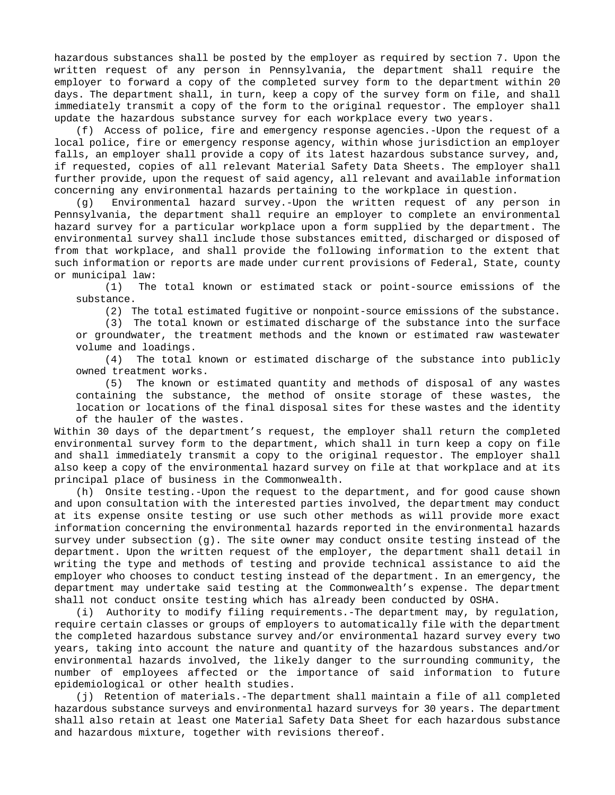hazardous substances shall be posted by the employer as required by section 7. Upon the written request of any person in Pennsylvania, the department shall require the employer to forward a copy of the completed survey form to the department within 20 days. The department shall, in turn, keep a copy of the survey form on file, and shall immediately transmit a copy of the form to the original requestor. The employer shall update the hazardous substance survey for each workplace every two years.

(f) Access of police, fire and emergency response agencies.-Upon the request of a local police, fire or emergency response agency, within whose jurisdiction an employer falls, an employer shall provide a copy of its latest hazardous substance survey, and, if requested, copies of all relevant Material Safety Data Sheets. The employer shall further provide, upon the request of said agency, all relevant and available information concerning any environmental hazards pertaining to the workplace in question.

(g) Environmental hazard survey.-Upon the written request of any person in Pennsylvania, the department shall require an employer to complete an environmental hazard survey for a particular workplace upon a form supplied by the department. The environmental survey shall include those substances emitted, discharged or disposed of from that workplace, and shall provide the following information to the extent that such information or reports are made under current provisions of Federal, State, county or municipal law:

(1) The total known or estimated stack or point-source emissions of the substance.

(2) The total estimated fugitive or nonpoint-source emissions of the substance.

(3) The total known or estimated discharge of the substance into the surface or groundwater, the treatment methods and the known or estimated raw wastewater volume and loadings.

(4) The total known or estimated discharge of the substance into publicly owned treatment works.

(5) The known or estimated quantity and methods of disposal of any wastes containing the substance, the method of onsite storage of these wastes, the location or locations of the final disposal sites for these wastes and the identity of the hauler of the wastes.

Within 30 days of the department's request, the employer shall return the completed environmental survey form to the department, which shall in turn keep a copy on file and shall immediately transmit a copy to the original requestor. The employer shall also keep a copy of the environmental hazard survey on file at that workplace and at its principal place of business in the Commonwealth.

(h) Onsite testing.-Upon the request to the department, and for good cause shown and upon consultation with the interested parties involved, the department may conduct at its expense onsite testing or use such other methods as will provide more exact information concerning the environmental hazards reported in the environmental hazards survey under subsection (g). The site owner may conduct onsite testing instead of the department. Upon the written request of the employer, the department shall detail in writing the type and methods of testing and provide technical assistance to aid the employer who chooses to conduct testing instead of the department. In an emergency, the department may undertake said testing at the Commonwealth's expense. The department shall not conduct onsite testing which has already been conducted by OSHA.

(i) Authority to modify filing requirements.-The department may, by regulation, require certain classes or groups of employers to automatically file with the department the completed hazardous substance survey and/or environmental hazard survey every two years, taking into account the nature and quantity of the hazardous substances and/or environmental hazards involved, the likely danger to the surrounding community, the number of employees affected or the importance of said information to future epidemiological or other health studies.

(j) Retention of materials.-The department shall maintain a file of all completed hazardous substance surveys and environmental hazard surveys for 30 years. The department shall also retain at least one Material Safety Data Sheet for each hazardous substance and hazardous mixture, together with revisions thereof.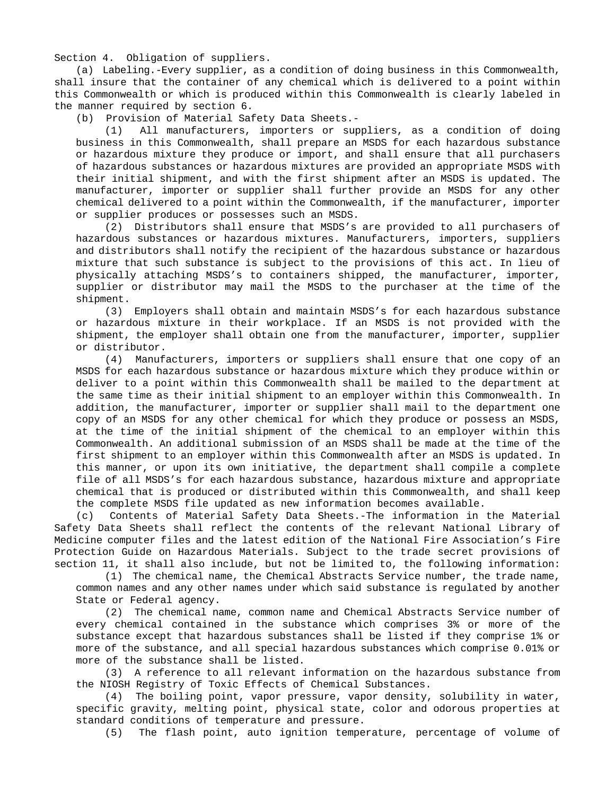Section 4. Obligation of suppliers.

(a) Labeling.-Every supplier, as a condition of doing business in this Commonwealth, shall insure that the container of any chemical which is delivered to a point within this Commonwealth or which is produced within this Commonwealth is clearly labeled in the manner required by section 6.

(b) Provision of Material Safety Data Sheets.-

(1) All manufacturers, importers or suppliers, as a condition of doing business in this Commonwealth, shall prepare an MSDS for each hazardous substance or hazardous mixture they produce or import, and shall ensure that all purchasers of hazardous substances or hazardous mixtures are provided an appropriate MSDS with their initial shipment, and with the first shipment after an MSDS is updated. The manufacturer, importer or supplier shall further provide an MSDS for any other chemical delivered to a point within the Commonwealth, if the manufacturer, importer or supplier produces or possesses such an MSDS.

(2) Distributors shall ensure that MSDS's are provided to all purchasers of hazardous substances or hazardous mixtures. Manufacturers, importers, suppliers and distributors shall notify the recipient of the hazardous substance or hazardous mixture that such substance is subject to the provisions of this act. In lieu of physically attaching MSDS's to containers shipped, the manufacturer, importer, supplier or distributor may mail the MSDS to the purchaser at the time of the shipment.

(3) Employers shall obtain and maintain MSDS's for each hazardous substance or hazardous mixture in their workplace. If an MSDS is not provided with the shipment, the employer shall obtain one from the manufacturer, importer, supplier or distributor.

(4) Manufacturers, importers or suppliers shall ensure that one copy of an MSDS for each hazardous substance or hazardous mixture which they produce within or deliver to a point within this Commonwealth shall be mailed to the department at the same time as their initial shipment to an employer within this Commonwealth. In addition, the manufacturer, importer or supplier shall mail to the department one copy of an MSDS for any other chemical for which they produce or possess an MSDS, at the time of the initial shipment of the chemical to an employer within this Commonwealth. An additional submission of an MSDS shall be made at the time of the first shipment to an employer within this Commonwealth after an MSDS is updated. In this manner, or upon its own initiative, the department shall compile a complete file of all MSDS's for each hazardous substance, hazardous mixture and appropriate chemical that is produced or distributed within this Commonwealth, and shall keep the complete MSDS file updated as new information becomes available.

(c) Contents of Material Safety Data Sheets.-The information in the Material Safety Data Sheets shall reflect the contents of the relevant National Library of Medicine computer files and the latest edition of the National Fire Association's Fire Protection Guide on Hazardous Materials. Subject to the trade secret provisions of section 11, it shall also include, but not be limited to, the following information:

(1) The chemical name, the Chemical Abstracts Service number, the trade name, common names and any other names under which said substance is regulated by another State or Federal agency.

(2) The chemical name, common name and Chemical Abstracts Service number of every chemical contained in the substance which comprises 3% or more of the substance except that hazardous substances shall be listed if they comprise 1% or more of the substance, and all special hazardous substances which comprise 0.01% or more of the substance shall be listed.

(3) A reference to all relevant information on the hazardous substance from the NIOSH Registry of Toxic Effects of Chemical Substances.

(4) The boiling point, vapor pressure, vapor density, solubility in water, specific gravity, melting point, physical state, color and odorous properties at standard conditions of temperature and pressure.

(5) The flash point, auto ignition temperature, percentage of volume of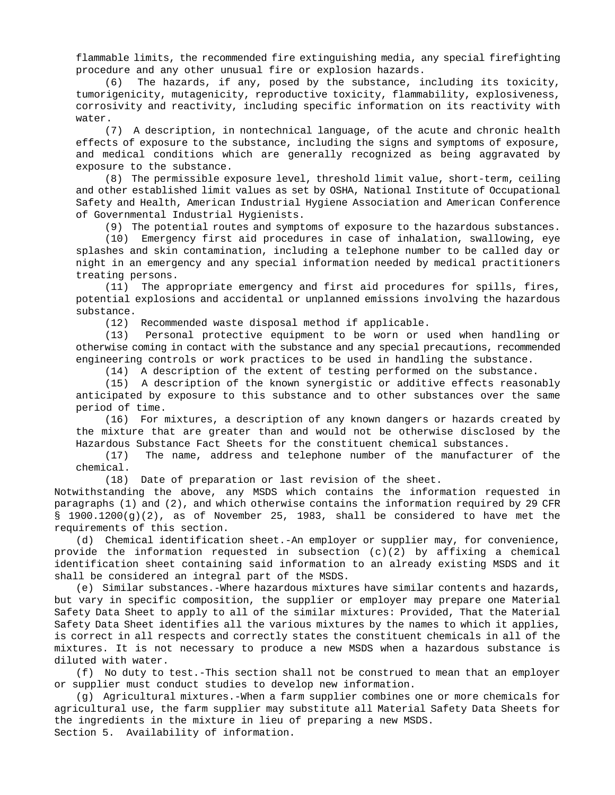flammable limits, the recommended fire extinguishing media, any special firefighting procedure and any other unusual fire or explosion hazards.

(6) The hazards, if any, posed by the substance, including its toxicity, tumorigenicity, mutagenicity, reproductive toxicity, flammability, explosiveness, corrosivity and reactivity, including specific information on its reactivity with water.

(7) A description, in nontechnical language, of the acute and chronic health effects of exposure to the substance, including the signs and symptoms of exposure, and medical conditions which are generally recognized as being aggravated by exposure to the substance.

(8) The permissible exposure level, threshold limit value, short-term, ceiling and other established limit values as set by OSHA, National Institute of Occupational Safety and Health, American Industrial Hygiene Association and American Conference of Governmental Industrial Hygienists.

(9) The potential routes and symptoms of exposure to the hazardous substances.

(10) Emergency first aid procedures in case of inhalation, swallowing, eye splashes and skin contamination, including a telephone number to be called day or night in an emergency and any special information needed by medical practitioners treating persons.

(11) The appropriate emergency and first aid procedures for spills, fires, potential explosions and accidental or unplanned emissions involving the hazardous substance.

(12) Recommended waste disposal method if applicable.

(13) Personal protective equipment to be worn or used when handling or otherwise coming in contact with the substance and any special precautions, recommended engineering controls or work practices to be used in handling the substance.

(14) A description of the extent of testing performed on the substance.

(15) A description of the known synergistic or additive effects reasonably anticipated by exposure to this substance and to other substances over the same period of time.

(16) For mixtures, a description of any known dangers or hazards created by the mixture that are greater than and would not be otherwise disclosed by the Hazardous Substance Fact Sheets for the constituent chemical substances.

(17) The name, address and telephone number of the manufacturer of the chemical.

(18) Date of preparation or last revision of the sheet.

Notwithstanding the above, any MSDS which contains the information requested in paragraphs (1) and (2), and which otherwise contains the information required by 29 CFR § 1900.1200(g)(2), as of November 25, 1983, shall be considered to have met the requirements of this section.

(d) Chemical identification sheet.-An employer or supplier may, for convenience, provide the information requested in subsection (c)(2) by affixing a chemical identification sheet containing said information to an already existing MSDS and it shall be considered an integral part of the MSDS.

(e) Similar substances.-Where hazardous mixtures have similar contents and hazards, but vary in specific composition, the supplier or employer may prepare one Material Safety Data Sheet to apply to all of the similar mixtures: Provided, That the Material Safety Data Sheet identifies all the various mixtures by the names to which it applies, is correct in all respects and correctly states the constituent chemicals in all of the mixtures. It is not necessary to produce a new MSDS when a hazardous substance is diluted with water.

(f) No duty to test.-This section shall not be construed to mean that an employer or supplier must conduct studies to develop new information.

(g) Agricultural mixtures.-When a farm supplier combines one or more chemicals for agricultural use, the farm supplier may substitute all Material Safety Data Sheets for the ingredients in the mixture in lieu of preparing a new MSDS.

Section 5. Availability of information.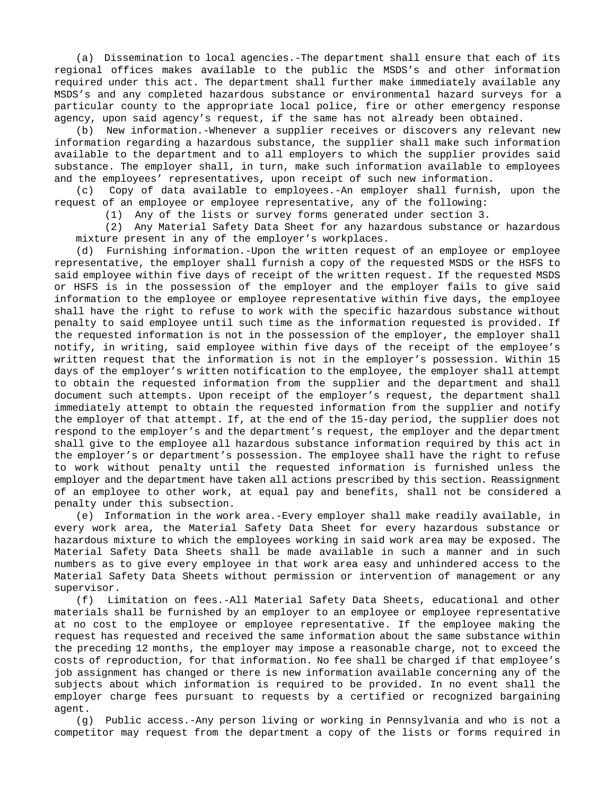(a) Dissemination to local agencies.-The department shall ensure that each of its regional offices makes available to the public the MSDS's and other information required under this act. The department shall further make immediately available any MSDS's and any completed hazardous substance or environmental hazard surveys for a particular county to the appropriate local police, fire or other emergency response agency, upon said agency's request, if the same has not already been obtained.

(b) New information.-Whenever a supplier receives or discovers any relevant new information regarding a hazardous substance, the supplier shall make such information available to the department and to all employers to which the supplier provides said substance. The employer shall, in turn, make such information available to employees and the employees' representatives, upon receipt of such new information.

(c) Copy of data available to employees.-An employer shall furnish, upon the request of an employee or employee representative, any of the following:

(1) Any of the lists or survey forms generated under section 3.

(2) Any Material Safety Data Sheet for any hazardous substance or hazardous mixture present in any of the employer's workplaces.

(d) Furnishing information.-Upon the written request of an employee or employee representative, the employer shall furnish a copy of the requested MSDS or the HSFS to said employee within five days of receipt of the written request. If the requested MSDS or HSFS is in the possession of the employer and the employer fails to give said information to the employee or employee representative within five days, the employee shall have the right to refuse to work with the specific hazardous substance without penalty to said employee until such time as the information requested is provided. If the requested information is not in the possession of the employer, the employer shall notify, in writing, said employee within five days of the receipt of the employee's written request that the information is not in the employer's possession. Within 15 days of the employer's written notification to the employee, the employer shall attempt to obtain the requested information from the supplier and the department and shall document such attempts. Upon receipt of the employer's request, the department shall immediately attempt to obtain the requested information from the supplier and notify the employer of that attempt. If, at the end of the 15-day period, the supplier does not respond to the employer's and the department's request, the employer and the department shall give to the employee all hazardous substance information required by this act in the employer's or department's possession. The employee shall have the right to refuse to work without penalty until the requested information is furnished unless the employer and the department have taken all actions prescribed by this section. Reassignment of an employee to other work, at equal pay and benefits, shall not be considered a penalty under this subsection.

(e) Information in the work area.-Every employer shall make readily available, in every work area, the Material Safety Data Sheet for every hazardous substance or hazardous mixture to which the employees working in said work area may be exposed. The Material Safety Data Sheets shall be made available in such a manner and in such numbers as to give every employee in that work area easy and unhindered access to the Material Safety Data Sheets without permission or intervention of management or any supervisor.

(f) Limitation on fees.-All Material Safety Data Sheets, educational and other materials shall be furnished by an employer to an employee or employee representative at no cost to the employee or employee representative. If the employee making the request has requested and received the same information about the same substance within the preceding 12 months, the employer may impose a reasonable charge, not to exceed the costs of reproduction, for that information. No fee shall be charged if that employee's job assignment has changed or there is new information available concerning any of the subjects about which information is required to be provided. In no event shall the employer charge fees pursuant to requests by a certified or recognized bargaining agent.

(g) Public access.-Any person living or working in Pennsylvania and who is not a competitor may request from the department a copy of the lists or forms required in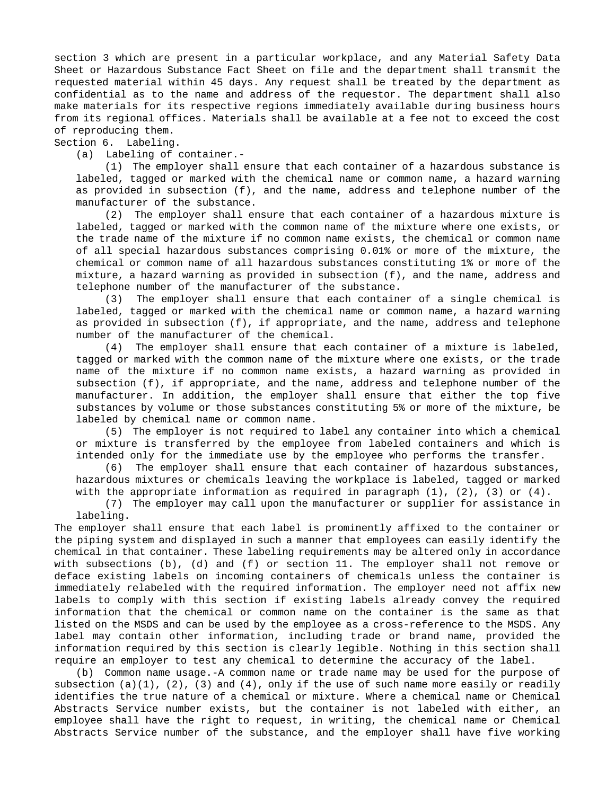section 3 which are present in a particular workplace, and any Material Safety Data Sheet or Hazardous Substance Fact Sheet on file and the department shall transmit the requested material within 45 days. Any request shall be treated by the department as confidential as to the name and address of the requestor. The department shall also make materials for its respective regions immediately available during business hours from its regional offices. Materials shall be available at a fee not to exceed the cost of reproducing them.

Section 6. Labeling.

(a) Labeling of container.-

(1) The employer shall ensure that each container of a hazardous substance is labeled, tagged or marked with the chemical name or common name, a hazard warning as provided in subsection (f), and the name, address and telephone number of the manufacturer of the substance.

(2) The employer shall ensure that each container of a hazardous mixture is labeled, tagged or marked with the common name of the mixture where one exists, or the trade name of the mixture if no common name exists, the chemical or common name of all special hazardous substances comprising 0.01% or more of the mixture, the chemical or common name of all hazardous substances constituting 1% or more of the mixture, a hazard warning as provided in subsection (f), and the name, address and telephone number of the manufacturer of the substance.

(3) The employer shall ensure that each container of a single chemical is labeled, tagged or marked with the chemical name or common name, a hazard warning as provided in subsection (f), if appropriate, and the name, address and telephone number of the manufacturer of the chemical.

(4) The employer shall ensure that each container of a mixture is labeled, tagged or marked with the common name of the mixture where one exists, or the trade name of the mixture if no common name exists, a hazard warning as provided in subsection (f), if appropriate, and the name, address and telephone number of the manufacturer. In addition, the employer shall ensure that either the top five substances by volume or those substances constituting 5% or more of the mixture, be labeled by chemical name or common name.

(5) The employer is not required to label any container into which a chemical or mixture is transferred by the employee from labeled containers and which is intended only for the immediate use by the employee who performs the transfer.

(6) The employer shall ensure that each container of hazardous substances, hazardous mixtures or chemicals leaving the workplace is labeled, tagged or marked with the appropriate information as required in paragraph  $(1)$ ,  $(2)$ ,  $(3)$  or  $(4)$ .

(7) The employer may call upon the manufacturer or supplier for assistance in labeling.

The employer shall ensure that each label is prominently affixed to the container or the piping system and displayed in such a manner that employees can easily identify the chemical in that container. These labeling requirements may be altered only in accordance with subsections (b), (d) and (f) or section 11. The employer shall not remove or deface existing labels on incoming containers of chemicals unless the container is immediately relabeled with the required information. The employer need not affix new labels to comply with this section if existing labels already convey the required information that the chemical or common name on the container is the same as that listed on the MSDS and can be used by the employee as a cross-reference to the MSDS. Any label may contain other information, including trade or brand name, provided the information required by this section is clearly legible. Nothing in this section shall require an employer to test any chemical to determine the accuracy of the label.

(b) Common name usage.-A common name or trade name may be used for the purpose of subsection (a)(1), (2), (3) and (4), only if the use of such name more easily or readily identifies the true nature of a chemical or mixture. Where a chemical name or Chemical Abstracts Service number exists, but the container is not labeled with either, an employee shall have the right to request, in writing, the chemical name or Chemical Abstracts Service number of the substance, and the employer shall have five working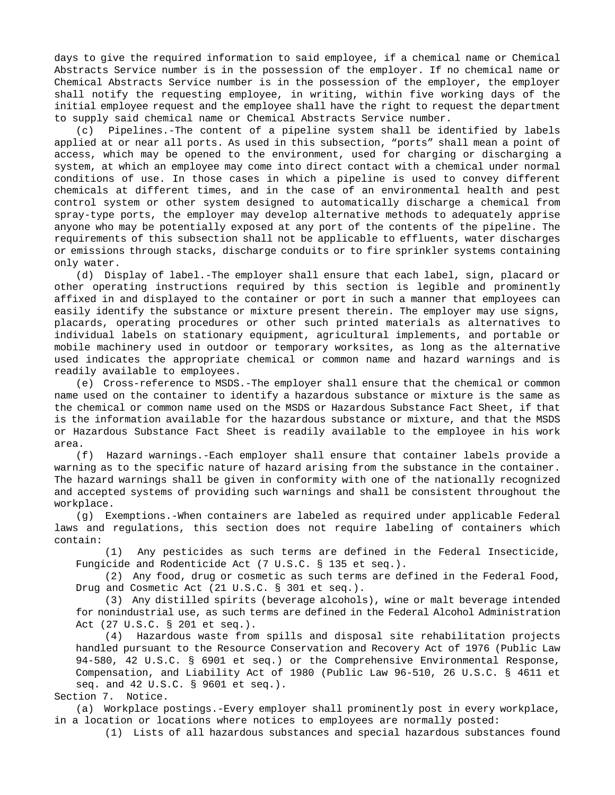days to give the required information to said employee, if a chemical name or Chemical Abstracts Service number is in the possession of the employer. If no chemical name or Chemical Abstracts Service number is in the possession of the employer, the employer shall notify the requesting employee, in writing, within five working days of the initial employee request and the employee shall have the right to request the department to supply said chemical name or Chemical Abstracts Service number.

(c) Pipelines.-The content of a pipeline system shall be identified by labels applied at or near all ports. As used in this subsection, "ports" shall mean a point of access, which may be opened to the environment, used for charging or discharging a system, at which an employee may come into direct contact with a chemical under normal conditions of use. In those cases in which a pipeline is used to convey different chemicals at different times, and in the case of an environmental health and pest control system or other system designed to automatically discharge a chemical from spray-type ports, the employer may develop alternative methods to adequately apprise anyone who may be potentially exposed at any port of the contents of the pipeline. The requirements of this subsection shall not be applicable to effluents, water discharges or emissions through stacks, discharge conduits or to fire sprinkler systems containing only water.

(d) Display of label.-The employer shall ensure that each label, sign, placard or other operating instructions required by this section is legible and prominently affixed in and displayed to the container or port in such a manner that employees can easily identify the substance or mixture present therein. The employer may use signs, placards, operating procedures or other such printed materials as alternatives to individual labels on stationary equipment, agricultural implements, and portable or mobile machinery used in outdoor or temporary worksites, as long as the alternative used indicates the appropriate chemical or common name and hazard warnings and is readily available to employees.

(e) Cross-reference to MSDS.-The employer shall ensure that the chemical or common name used on the container to identify a hazardous substance or mixture is the same as the chemical or common name used on the MSDS or Hazardous Substance Fact Sheet, if that is the information available for the hazardous substance or mixture, and that the MSDS or Hazardous Substance Fact Sheet is readily available to the employee in his work area.

(f) Hazard warnings.-Each employer shall ensure that container labels provide a warning as to the specific nature of hazard arising from the substance in the container. The hazard warnings shall be given in conformity with one of the nationally recognized and accepted systems of providing such warnings and shall be consistent throughout the workplace.

(g) Exemptions.-When containers are labeled as required under applicable Federal laws and regulations, this section does not require labeling of containers which contain:

(1) Any pesticides as such terms are defined in the Federal Insecticide, Fungicide and Rodenticide Act (7 U.S.C. § 135 et seq.).

(2) Any food, drug or cosmetic as such terms are defined in the Federal Food, Drug and Cosmetic Act (21 U.S.C. § 301 et seq.).

(3) Any distilled spirits (beverage alcohols), wine or malt beverage intended for nonindustrial use, as such terms are defined in the Federal Alcohol Administration Act (27 U.S.C. § 201 et seq.).

(4) Hazardous waste from spills and disposal site rehabilitation projects handled pursuant to the Resource Conservation and Recovery Act of 1976 (Public Law 94-580, 42 U.S.C. § 6901 et seq.) or the Comprehensive Environmental Response, Compensation, and Liability Act of 1980 (Public Law 96-510, 26 U.S.C. § 4611 et seq. and 42 U.S.C. § 9601 et seq.).

Section 7. Notice.

(a) Workplace postings.-Every employer shall prominently post in every workplace, in a location or locations where notices to employees are normally posted:

(1) Lists of all hazardous substances and special hazardous substances found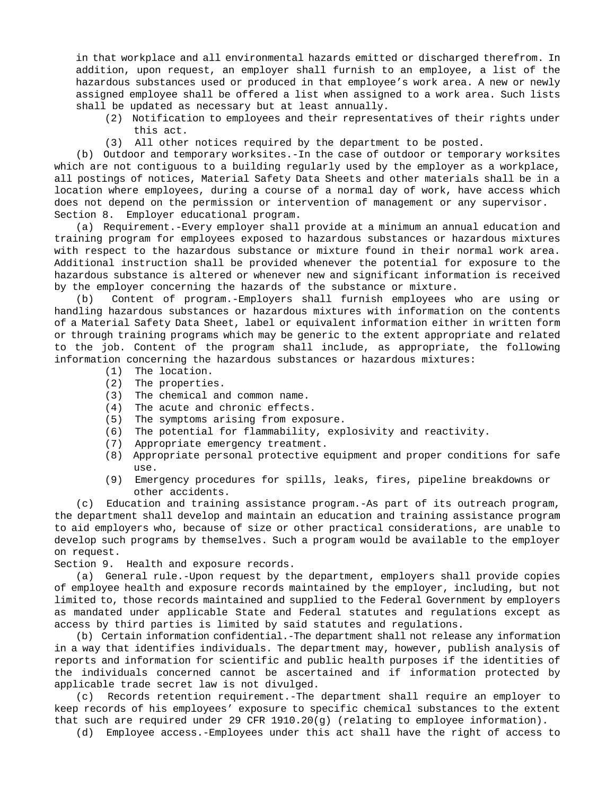in that workplace and all environmental hazards emitted or discharged therefrom. In addition, upon request, an employer shall furnish to an employee, a list of the hazardous substances used or produced in that employee's work area. A new or newly assigned employee shall be offered a list when assigned to a work area. Such lists shall be updated as necessary but at least annually.

- (2) Notification to employees and their representatives of their rights under this act.
- (3) All other notices required by the department to be posted.

(b) Outdoor and temporary worksites.-In the case of outdoor or temporary worksites which are not contiguous to a building regularly used by the employer as a workplace, all postings of notices, Material Safety Data Sheets and other materials shall be in a location where employees, during a course of a normal day of work, have access which does not depend on the permission or intervention of management or any supervisor. Section 8. Employer educational program.

(a) Requirement.-Every employer shall provide at a minimum an annual education and training program for employees exposed to hazardous substances or hazardous mixtures with respect to the hazardous substance or mixture found in their normal work area. Additional instruction shall be provided whenever the potential for exposure to the hazardous substance is altered or whenever new and significant information is received by the employer concerning the hazards of the substance or mixture.

(b) Content of program.-Employers shall furnish employees who are using or handling hazardous substances or hazardous mixtures with information on the contents of a Material Safety Data Sheet, label or equivalent information either in written form or through training programs which may be generic to the extent appropriate and related to the job. Content of the program shall include, as appropriate, the following information concerning the hazardous substances or hazardous mixtures:

- (1) The location.
- (2) The properties.
- (3) The chemical and common name.
- (4) The acute and chronic effects.
- (5) The symptoms arising from exposure.
- (6) The potential for flammability, explosivity and reactivity.
- (7) Appropriate emergency treatment.
- (8) Appropriate personal protective equipment and proper conditions for safe use.
- (9) Emergency procedures for spills, leaks, fires, pipeline breakdowns or other accidents.

(c) Education and training assistance program.-As part of its outreach program, the department shall develop and maintain an education and training assistance program to aid employers who, because of size or other practical considerations, are unable to develop such programs by themselves. Such a program would be available to the employer on request.

Section 9. Health and exposure records.

(a) General rule.-Upon request by the department, employers shall provide copies of employee health and exposure records maintained by the employer, including, but not limited to, those records maintained and supplied to the Federal Government by employers as mandated under applicable State and Federal statutes and regulations except as access by third parties is limited by said statutes and regulations.

(b) Certain information confidential.-The department shall not release any information in a way that identifies individuals. The department may, however, publish analysis of reports and information for scientific and public health purposes if the identities of the individuals concerned cannot be ascertained and if information protected by applicable trade secret law is not divulged.

(c) Records retention requirement.-The department shall require an employer to keep records of his employees' exposure to specific chemical substances to the extent that such are required under 29 CFR 1910.20(g) (relating to employee information).

(d) Employee access.-Employees under this act shall have the right of access to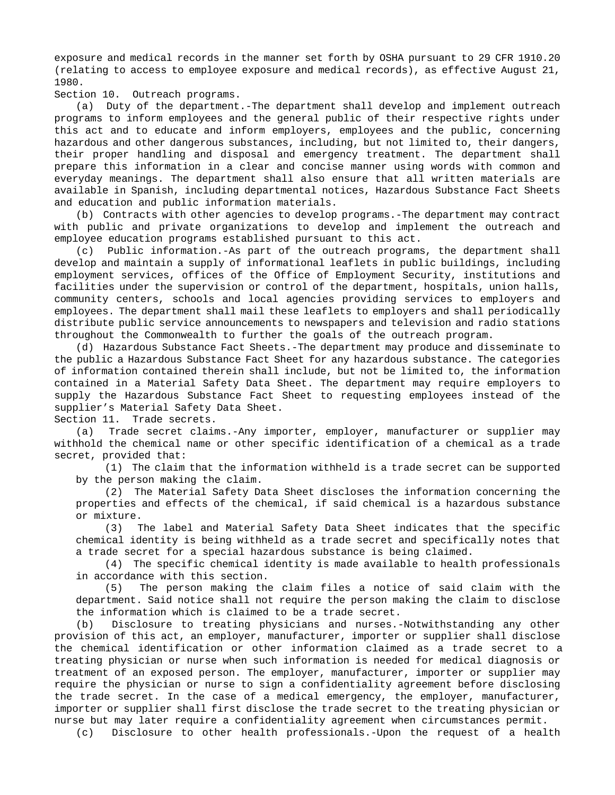exposure and medical records in the manner set forth by OSHA pursuant to 29 CFR 1910.20 (relating to access to employee exposure and medical records), as effective August 21, 1980.

Section 10. Outreach programs.

(a) Duty of the department.-The department shall develop and implement outreach programs to inform employees and the general public of their respective rights under this act and to educate and inform employers, employees and the public, concerning hazardous and other dangerous substances, including, but not limited to, their dangers, their proper handling and disposal and emergency treatment. The department shall prepare this information in a clear and concise manner using words with common and everyday meanings. The department shall also ensure that all written materials are available in Spanish, including departmental notices, Hazardous Substance Fact Sheets and education and public information materials.

(b) Contracts with other agencies to develop programs.-The department may contract with public and private organizations to develop and implement the outreach and employee education programs established pursuant to this act.

(c) Public information.-As part of the outreach programs, the department shall develop and maintain a supply of informational leaflets in public buildings, including employment services, offices of the Office of Employment Security, institutions and facilities under the supervision or control of the department, hospitals, union halls, community centers, schools and local agencies providing services to employers and employees. The department shall mail these leaflets to employers and shall periodically distribute public service announcements to newspapers and television and radio stations throughout the Commonwealth to further the goals of the outreach program.

(d) Hazardous Substance Fact Sheets.-The department may produce and disseminate to the public a Hazardous Substance Fact Sheet for any hazardous substance. The categories of information contained therein shall include, but not be limited to, the information contained in a Material Safety Data Sheet. The department may require employers to supply the Hazardous Substance Fact Sheet to requesting employees instead of the supplier's Material Safety Data Sheet.

Section 11. Trade secrets.

(a) Trade secret claims.-Any importer, employer, manufacturer or supplier may withhold the chemical name or other specific identification of a chemical as a trade secret, provided that:

(1) The claim that the information withheld is a trade secret can be supported by the person making the claim.

(2) The Material Safety Data Sheet discloses the information concerning the properties and effects of the chemical, if said chemical is a hazardous substance or mixture.

(3) The label and Material Safety Data Sheet indicates that the specific chemical identity is being withheld as a trade secret and specifically notes that a trade secret for a special hazardous substance is being claimed.

(4) The specific chemical identity is made available to health professionals in accordance with this section.

(5) The person making the claim files a notice of said claim with the department. Said notice shall not require the person making the claim to disclose the information which is claimed to be a trade secret.

(b) Disclosure to treating physicians and nurses.-Notwithstanding any other provision of this act, an employer, manufacturer, importer or supplier shall disclose the chemical identification or other information claimed as a trade secret to a treating physician or nurse when such information is needed for medical diagnosis or treatment of an exposed person. The employer, manufacturer, importer or supplier may require the physician or nurse to sign a confidentiality agreement before disclosing the trade secret. In the case of a medical emergency, the employer, manufacturer, importer or supplier shall first disclose the trade secret to the treating physician or nurse but may later require a confidentiality agreement when circumstances permit.

(c) Disclosure to other health professionals.-Upon the request of a health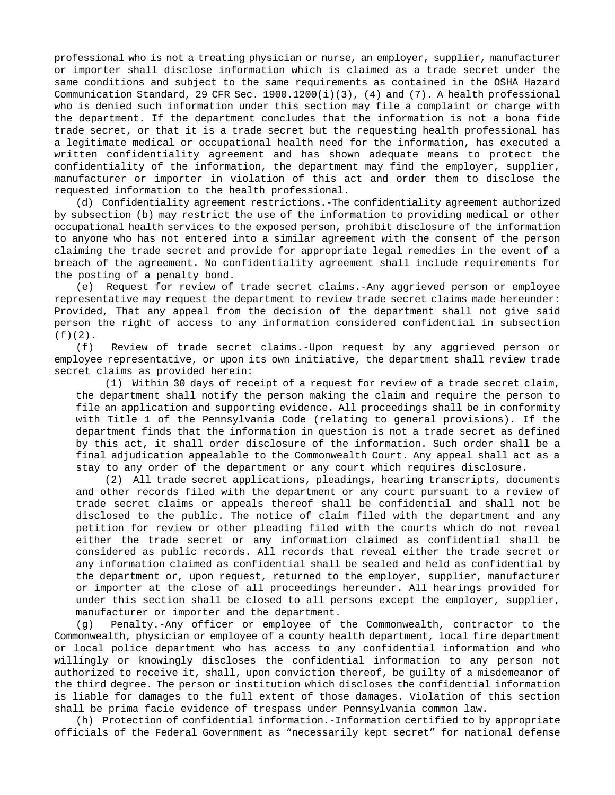professional who is not a treating physician or nurse, an employer, supplier, manufacturer or importer shall disclose information which is claimed as a trade secret under the same conditions and subject to the same requirements as contained in the OSHA Hazard Communication Standard, 29 CFR Sec. 1900.1200(i)(3), (4) and (7). A health professional who is denied such information under this section may file a complaint or charge with the department. If the department concludes that the information is not a bona fide trade secret, or that it is a trade secret but the requesting health professional has a legitimate medical or occupational health need for the information, has executed a written confidentiality agreement and has shown adequate means to protect the confidentiality of the information, the department may find the employer, supplier, manufacturer or importer in violation of this act and order them to disclose the requested information to the health professional.

(d) Confidentiality agreement restrictions.-The confidentiality agreement authorized by subsection (b) may restrict the use of the information to providing medical or other occupational health services to the exposed person, prohibit disclosure of the information to anyone who has not entered into a similar agreement with the consent of the person claiming the trade secret and provide for appropriate legal remedies in the event of a breach of the agreement. No confidentiality agreement shall include requirements for the posting of a penalty bond.

(e) Request for review of trade secret claims.-Any aggrieved person or employee representative may request the department to review trade secret claims made hereunder: Provided, That any appeal from the decision of the department shall not give said person the right of access to any information considered confidential in subsection  $(f)(2)$ .

(f) Review of trade secret claims.-Upon request by any aggrieved person or employee representative, or upon its own initiative, the department shall review trade secret claims as provided herein:

(1) Within 30 days of receipt of a request for review of a trade secret claim, the department shall notify the person making the claim and require the person to file an application and supporting evidence. All proceedings shall be in conformity with Title 1 of the Pennsylvania Code (relating to general provisions). If the department finds that the information in question is not a trade secret as defined by this act, it shall order disclosure of the information. Such order shall be a final adjudication appealable to the Commonwealth Court. Any appeal shall act as a stay to any order of the department or any court which requires disclosure.

(2) All trade secret applications, pleadings, hearing transcripts, documents and other records filed with the department or any court pursuant to a review of trade secret claims or appeals thereof shall be confidential and shall not be disclosed to the public. The notice of claim filed with the department and any petition for review or other pleading filed with the courts which do not reveal either the trade secret or any information claimed as confidential shall be considered as public records. All records that reveal either the trade secret or any information claimed as confidential shall be sealed and held as confidential by the department or, upon request, returned to the employer, supplier, manufacturer or importer at the close of all proceedings hereunder. All hearings provided for under this section shall be closed to all persons except the employer, supplier, manufacturer or importer and the department.

(g) Penalty.-Any officer or employee of the Commonwealth, contractor to the Commonwealth, physician or employee of a county health department, local fire department or local police department who has access to any confidential information and who willingly or knowingly discloses the confidential information to any person not authorized to receive it, shall, upon conviction thereof, be guilty of a misdemeanor of the third degree. The person or institution which discloses the confidential information is liable for damages to the full extent of those damages. Violation of this section shall be prima facie evidence of trespass under Pennsylvania common law.

(h) Protection of confidential information.-Information certified to by appropriate officials of the Federal Government as "necessarily kept secret" for national defense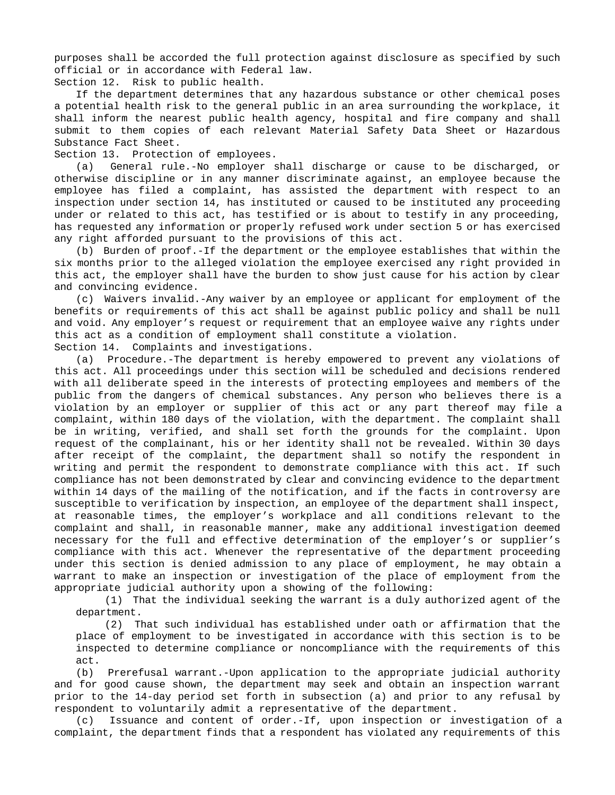purposes shall be accorded the full protection against disclosure as specified by such official or in accordance with Federal law.

Section 12. Risk to public health.

If the department determines that any hazardous substance or other chemical poses a potential health risk to the general public in an area surrounding the workplace, it shall inform the nearest public health agency, hospital and fire company and shall submit to them copies of each relevant Material Safety Data Sheet or Hazardous Substance Fact Sheet.

Section 13. Protection of employees.

(a) General rule.-No employer shall discharge or cause to be discharged, or otherwise discipline or in any manner discriminate against, an employee because the employee has filed a complaint, has assisted the department with respect to an inspection under section 14, has instituted or caused to be instituted any proceeding under or related to this act, has testified or is about to testify in any proceeding, has requested any information or properly refused work under section 5 or has exercised any right afforded pursuant to the provisions of this act.

(b) Burden of proof.-If the department or the employee establishes that within the six months prior to the alleged violation the employee exercised any right provided in this act, the employer shall have the burden to show just cause for his action by clear and convincing evidence.

(c) Waivers invalid.-Any waiver by an employee or applicant for employment of the benefits or requirements of this act shall be against public policy and shall be null and void. Any employer's request or requirement that an employee waive any rights under this act as a condition of employment shall constitute a violation.

Section 14. Complaints and investigations.

(a) Procedure.-The department is hereby empowered to prevent any violations of this act. All proceedings under this section will be scheduled and decisions rendered with all deliberate speed in the interests of protecting employees and members of the public from the dangers of chemical substances. Any person who believes there is a violation by an employer or supplier of this act or any part thereof may file a complaint, within 180 days of the violation, with the department. The complaint shall be in writing, verified, and shall set forth the grounds for the complaint. Upon request of the complainant, his or her identity shall not be revealed. Within 30 days after receipt of the complaint, the department shall so notify the respondent in writing and permit the respondent to demonstrate compliance with this act. If such compliance has not been demonstrated by clear and convincing evidence to the department within 14 days of the mailing of the notification, and if the facts in controversy are susceptible to verification by inspection, an employee of the department shall inspect, at reasonable times, the employer's workplace and all conditions relevant to the complaint and shall, in reasonable manner, make any additional investigation deemed necessary for the full and effective determination of the employer's or supplier's compliance with this act. Whenever the representative of the department proceeding under this section is denied admission to any place of employment, he may obtain a warrant to make an inspection or investigation of the place of employment from the appropriate judicial authority upon a showing of the following:

(1) That the individual seeking the warrant is a duly authorized agent of the department.

(2) That such individual has established under oath or affirmation that the place of employment to be investigated in accordance with this section is to be inspected to determine compliance or noncompliance with the requirements of this act.

(b) Prerefusal warrant.-Upon application to the appropriate judicial authority and for good cause shown, the department may seek and obtain an inspection warrant prior to the 14-day period set forth in subsection (a) and prior to any refusal by respondent to voluntarily admit a representative of the department.

(c) Issuance and content of order.-If, upon inspection or investigation of a complaint, the department finds that a respondent has violated any requirements of this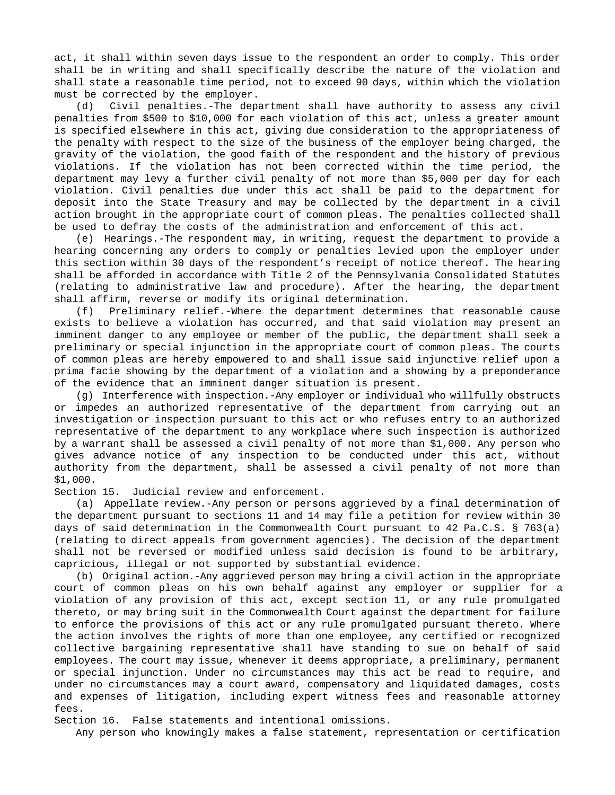act, it shall within seven days issue to the respondent an order to comply. This order shall be in writing and shall specifically describe the nature of the violation and shall state a reasonable time period, not to exceed 90 days, within which the violation must be corrected by the employer.

(d) Civil penalties.-The department shall have authority to assess any civil penalties from \$500 to \$10,000 for each violation of this act, unless a greater amount is specified elsewhere in this act, giving due consideration to the appropriateness of the penalty with respect to the size of the business of the employer being charged, the gravity of the violation, the good faith of the respondent and the history of previous violations. If the violation has not been corrected within the time period, the department may levy a further civil penalty of not more than \$5,000 per day for each violation. Civil penalties due under this act shall be paid to the department for deposit into the State Treasury and may be collected by the department in a civil action brought in the appropriate court of common pleas. The penalties collected shall be used to defray the costs of the administration and enforcement of this act.

(e) Hearings.-The respondent may, in writing, request the department to provide a hearing concerning any orders to comply or penalties levied upon the employer under this section within 30 days of the respondent's receipt of notice thereof. The hearing shall be afforded in accordance with Title 2 of the Pennsylvania Consolidated Statutes (relating to administrative law and procedure). After the hearing, the department shall affirm, reverse or modify its original determination.

(f) Preliminary relief.-Where the department determines that reasonable cause exists to believe a violation has occurred, and that said violation may present an imminent danger to any employee or member of the public, the department shall seek a preliminary or special injunction in the appropriate court of common pleas. The courts of common pleas are hereby empowered to and shall issue said injunctive relief upon a prima facie showing by the department of a violation and a showing by a preponderance of the evidence that an imminent danger situation is present.

(g) Interference with inspection.-Any employer or individual who willfully obstructs or impedes an authorized representative of the department from carrying out an investigation or inspection pursuant to this act or who refuses entry to an authorized representative of the department to any workplace where such inspection is authorized by a warrant shall be assessed a civil penalty of not more than \$1,000. Any person who gives advance notice of any inspection to be conducted under this act, without authority from the department, shall be assessed a civil penalty of not more than \$1,000.

Section 15. Judicial review and enforcement.

(a) Appellate review.-Any person or persons aggrieved by a final determination of the department pursuant to sections 11 and 14 may file a petition for review within 30 days of said determination in the Commonwealth Court pursuant to 42 Pa.C.S. § 763(a) (relating to direct appeals from government agencies). The decision of the department shall not be reversed or modified unless said decision is found to be arbitrary, capricious, illegal or not supported by substantial evidence.

(b) Original action.-Any aggrieved person may bring a civil action in the appropriate court of common pleas on his own behalf against any employer or supplier for a violation of any provision of this act, except section 11, or any rule promulgated thereto, or may bring suit in the Commonwealth Court against the department for failure to enforce the provisions of this act or any rule promulgated pursuant thereto. Where the action involves the rights of more than one employee, any certified or recognized collective bargaining representative shall have standing to sue on behalf of said employees. The court may issue, whenever it deems appropriate, a preliminary, permanent or special injunction. Under no circumstances may this act be read to require, and under no circumstances may a court award, compensatory and liquidated damages, costs and expenses of litigation, including expert witness fees and reasonable attorney fees.

Section 16. False statements and intentional omissions.

Any person who knowingly makes a false statement, representation or certification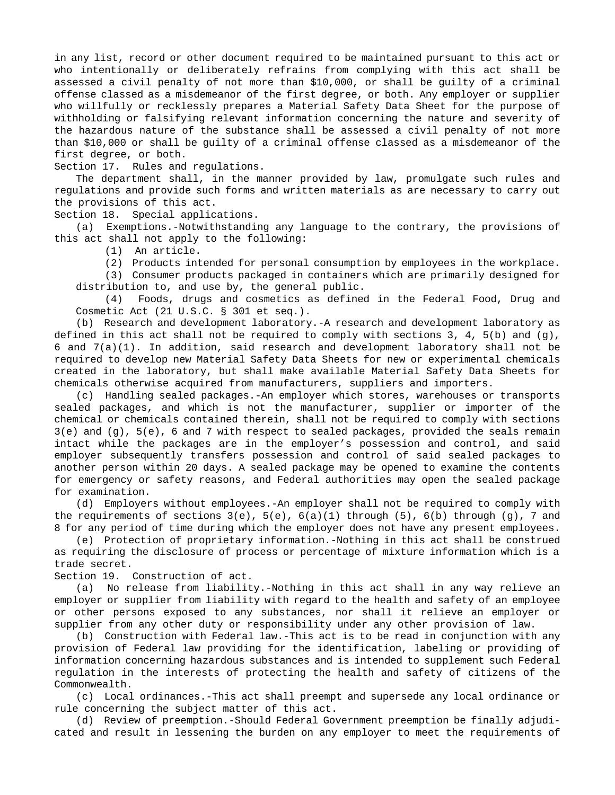in any list, record or other document required to be maintained pursuant to this act or who intentionally or deliberately refrains from complying with this act shall be assessed a civil penalty of not more than \$10,000, or shall be guilty of a criminal offense classed as a misdemeanor of the first degree, or both. Any employer or supplier who willfully or recklessly prepares a Material Safety Data Sheet for the purpose of withholding or falsifying relevant information concerning the nature and severity of the hazardous nature of the substance shall be assessed a civil penalty of not more than \$10,000 or shall be guilty of a criminal offense classed as a misdemeanor of the first degree, or both.

Section 17. Rules and regulations.

The department shall, in the manner provided by law, promulgate such rules and regulations and provide such forms and written materials as are necessary to carry out the provisions of this act.

Section 18. Special applications.

(a) Exemptions.-Notwithstanding any language to the contrary, the provisions of this act shall not apply to the following:

(1) An article.

(2) Products intended for personal consumption by employees in the workplace.

(3) Consumer products packaged in containers which are primarily designed for distribution to, and use by, the general public.

(4) Foods, drugs and cosmetics as defined in the Federal Food, Drug and Cosmetic Act (21 U.S.C. § 301 et seq.).

(b) Research and development laboratory.-A research and development laboratory as defined in this act shall not be required to comply with sections 3, 4, 5(b) and (g), 6 and 7(a)(1). In addition, said research and development laboratory shall not be required to develop new Material Safety Data Sheets for new or experimental chemicals created in the laboratory, but shall make available Material Safety Data Sheets for chemicals otherwise acquired from manufacturers, suppliers and importers.

(c) Handling sealed packages.-An employer which stores, warehouses or transports sealed packages, and which is not the manufacturer, supplier or importer of the chemical or chemicals contained therein, shall not be required to comply with sections 3(e) and (g), 5(e), 6 and 7 with respect to sealed packages, provided the seals remain intact while the packages are in the employer's possession and control, and said employer subsequently transfers possession and control of said sealed packages to another person within 20 days. A sealed package may be opened to examine the contents for emergency or safety reasons, and Federal authorities may open the sealed package for examination.

(d) Employers without employees.-An employer shall not be required to comply with the requirements of sections  $3(e)$ ,  $5(e)$ ,  $6(a)(1)$  through  $(5)$ ,  $6(b)$  through  $(g)$ , 7 and 8 for any period of time during which the employer does not have any present employees.

(e) Protection of proprietary information.-Nothing in this act shall be construed as requiring the disclosure of process or percentage of mixture information which is a trade secret.

Section 19. Construction of act.

(a) No release from liability.-Nothing in this act shall in any way relieve an employer or supplier from liability with regard to the health and safety of an employee or other persons exposed to any substances, nor shall it relieve an employer or supplier from any other duty or responsibility under any other provision of law.

(b) Construction with Federal law.-This act is to be read in conjunction with any provision of Federal law providing for the identification, labeling or providing of information concerning hazardous substances and is intended to supplement such Federal regulation in the interests of protecting the health and safety of citizens of the Commonwealth.

(c) Local ordinances.-This act shall preempt and supersede any local ordinance or rule concerning the subject matter of this act.

(d) Review of preemption.-Should Federal Government preemption be finally adjudicated and result in lessening the burden on any employer to meet the requirements of